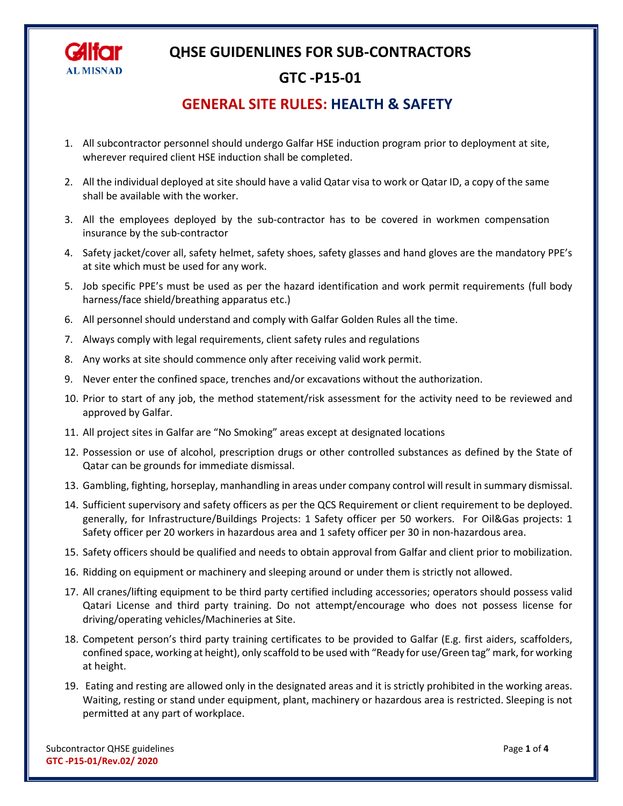

#### **GTC -P15-01**

#### **GENERAL SITE RULES: HEALTH & SAFETY**

- 1. All subcontractor personnel should undergo Galfar HSE induction program prior to deployment at site, wherever required client HSE induction shall be completed.
- 2. All the individual deployed at site should have a valid Qatar visa to work or Qatar ID, a copy of the same shall be available with the worker.
- 3. All the employees deployed by the sub-contractor has to be covered in workmen compensation insurance by the sub-contractor
- 4. Safety jacket/cover all, safety helmet, safety shoes, safety glasses and hand gloves are the mandatory PPE's at site which must be used for any work.
- 5. Job specific PPE's must be used as per the hazard identification and work permit requirements (full body harness/face shield/breathing apparatus etc.)
- 6. All personnel should understand and comply with Galfar Golden Rules all the time.
- 7. Always comply with legal requirements, client safety rules and regulations
- 8. Any works at site should commence only after receiving valid work permit.
- 9. Never enter the confined space, trenches and/or excavations without the authorization.
- 10. Prior to start of any job, the method statement/risk assessment for the activity need to be reviewed and approved by Galfar.
- 11. All project sites in Galfar are "No Smoking" areas except at designated locations
- 12. Possession or use of alcohol, prescription drugs or other controlled substances as defined by the State of Qatar can be grounds for immediate dismissal.
- 13. Gambling, fighting, horseplay, manhandling in areas under company control will result in summary dismissal.
- 14. Sufficient supervisory and safety officers as per the QCS Requirement or client requirement to be deployed. generally, for Infrastructure/Buildings Projects: 1 Safety officer per 50 workers. For Oil&Gas projects: 1 Safety officer per 20 workers in hazardous area and 1 safety officer per 30 in non-hazardous area.
- 15. Safety officers should be qualified and needs to obtain approval from Galfar and client prior to mobilization.
- 16. Ridding on equipment or machinery and sleeping around or under them is strictly not allowed.
- 17. All cranes/lifting equipment to be third party certified including accessories; operators should possess valid Qatari License and third party training. Do not attempt/encourage who does not possess license for driving/operating vehicles/Machineries at Site.
- 18. Competent person's third party training certificates to be provided to Galfar (E.g. first aiders, scaffolders, confined space, working at height), only scaffold to be used with "Ready for use/Green tag" mark, for working at height.
- 19. Eating and resting are allowed only in the designated areas and it is strictly prohibited in the working areas. Waiting, resting or stand under equipment, plant, machinery or hazardous area is restricted. Sleeping is not permitted at any part of workplace.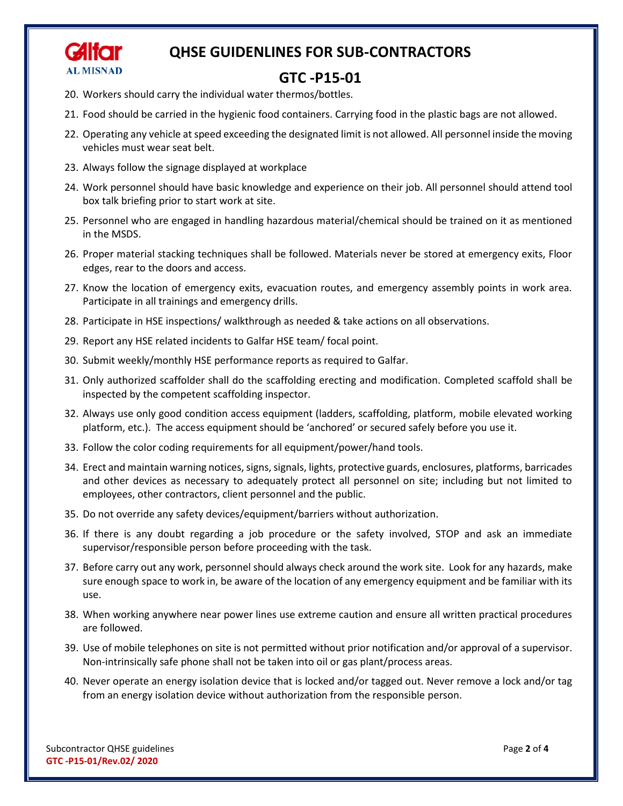

#### **GTC -P15-01**

- 20. Workers should carry the individual water thermos/bottles.
- 21. Food should be carried in the hygienic food containers. Carrying food in the plastic bags are not allowed.
- 22. Operating any vehicle at speed exceeding the designated limit is not allowed. All personnel inside the moving vehicles must wear seat belt.
- 23. Always follow the signage displayed at workplace
- 24. Work personnel should have basic knowledge and experience on their job. All personnel should attend tool box talk briefing prior to start work at site.
- 25. Personnel who are engaged in handling hazardous material/chemical should be trained on it as mentioned in the MSDS.
- 26. Proper material stacking techniques shall be followed. Materials never be stored at emergency exits, Floor edges, rear to the doors and access.
- 27. Know the location of emergency exits, evacuation routes, and emergency assembly points in work area. Participate in all trainings and emergency drills.
- 28. Participate in HSE inspections/ walkthrough as needed & take actions on all observations.
- 29. Report any HSE related incidents to Galfar HSE team/ focal point.
- 30. Submit weekly/monthly HSE performance reports as required to Galfar.
- 31. Only authorized scaffolder shall do the scaffolding erecting and modification. Completed scaffold shall be inspected by the competent scaffolding inspector.
- 32. Always use only good condition access equipment (ladders, scaffolding, platform, mobile elevated working platform, etc.). The access equipment should be 'anchored' or secured safely before you use it.
- 33. Follow the color coding requirements for all equipment/power/hand tools.
- 34. Erect and maintain warning notices, signs, signals, lights, protective guards, enclosures, platforms, barricades and other devices as necessary to adequately protect all personnel on site; including but not limited to employees, other contractors, client personnel and the public.
- 35. Do not override any safety devices/equipment/barriers without authorization.
- 36. If there is any doubt regarding a job procedure or the safety involved, STOP and ask an immediate supervisor/responsible person before proceeding with the task.
- 37. Before carry out any work, personnel should always check around the work site. Look for any hazards, make sure enough space to work in, be aware of the location of any emergency equipment and be familiar with its use.
- 38. When working anywhere near power lines use extreme caution and ensure all written practical procedures are followed.
- 39. Use of mobile telephones on site is not permitted without prior notification and/or approval of a supervisor. Non-intrinsically safe phone shall not be taken into oil or gas plant/process areas.
- 40. Never operate an energy isolation device that is locked and/or tagged out. Never remove a lock and/or tag from an energy isolation device without authorization from the responsible person.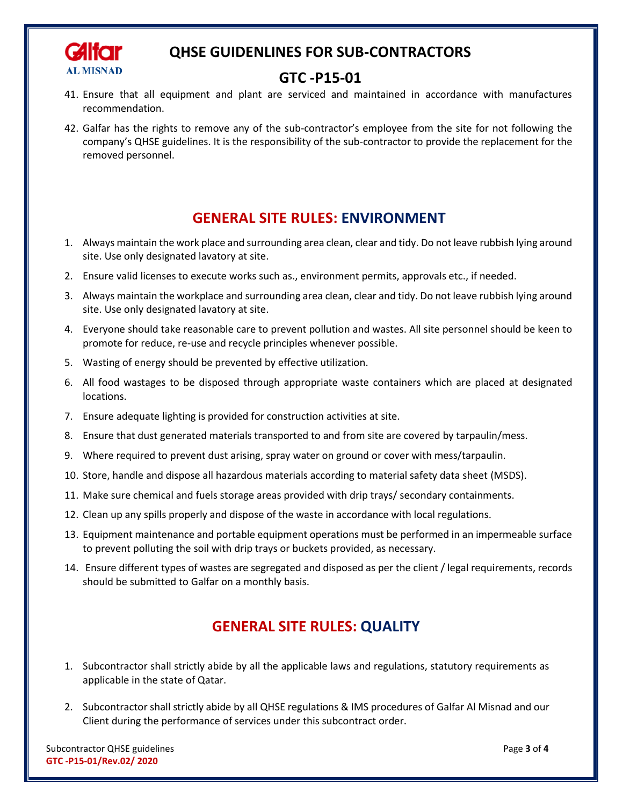

### **GTC -P15-01**

- 41. Ensure that all equipment and plant are serviced and maintained in accordance with manufactures recommendation.
- 42. Galfar has the rights to remove any of the sub-contractor's employee from the site for not following the company's QHSE guidelines. It is the responsibility of the sub-contractor to provide the replacement for the removed personnel.

# **GENERAL SITE RULES: ENVIRONMENT**

- 1. Always maintain the work place and surrounding area clean, clear and tidy. Do not leave rubbish lying around site. Use only designated lavatory at site.
- 2. Ensure valid licenses to execute works such as., environment permits, approvals etc., if needed.
- 3. Always maintain the workplace and surrounding area clean, clear and tidy. Do not leave rubbish lying around site. Use only designated lavatory at site.
- 4. Everyone should take reasonable care to prevent pollution and wastes. All site personnel should be keen to promote for reduce, re-use and recycle principles whenever possible.
- 5. Wasting of energy should be prevented by effective utilization.
- 6. All food wastages to be disposed through appropriate waste containers which are placed at designated locations.
- 7. Ensure adequate lighting is provided for construction activities at site.
- 8. Ensure that dust generated materials transported to and from site are covered by tarpaulin/mess.
- 9. Where required to prevent dust arising, spray water on ground or cover with mess/tarpaulin.
- 10. Store, handle and dispose all hazardous materials according to material safety data sheet (MSDS).
- 11. Make sure chemical and fuels storage areas provided with drip trays/ secondary containments.
- 12. Clean up any spills properly and dispose of the waste in accordance with local regulations.
- 13. Equipment maintenance and portable equipment operations must be performed in an impermeable surface to prevent polluting the soil with drip trays or buckets provided, as necessary.
- 14. Ensure different types of wastes are segregated and disposed as per the client / legal requirements, records should be submitted to Galfar on a monthly basis.

### **GENERAL SITE RULES: QUALITY**

- 1. Subcontractor shall strictly abide by all the applicable laws and regulations, statutory requirements as applicable in the state of Qatar.
- 2. Subcontractor shall strictly abide by all QHSE regulations & IMS procedures of Galfar Al Misnad and our Client during the performance of services under this subcontract order.

Subcontractor QHSE guidelines Page **3** of **4 GTC -P15-01/Rev.02/ 2020**